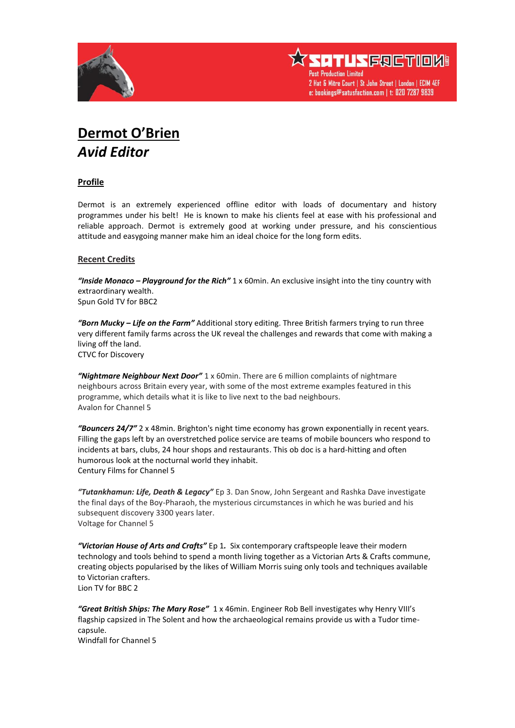



## **Dermot O'Brien** *Avid Editor*

## **Profile**

Dermot is an extremely experienced offline editor with loads of documentary and history programmes under his belt! He is known to make his clients feel at ease with his professional and reliable approach. Dermot is extremely good at working under pressure, and his conscientious attitude and easygoing manner make him an ideal choice for the long form edits.

## **Recent Credits**

*"Inside Monaco – Playground for the Rich"* 1 x 60min. An exclusive insight into the tiny country with extraordinary wealth. Spun Gold TV for BBC2

*"Born Mucky – Life on the Farm"* Additional story editing. Three British farmers trying to run three very different family farms across the UK reveal the challenges and rewards that come with making a living off the land. CTVC for Discovery

*"Nightmare Neighbour Next Door"* 1 x 60min. There are 6 million complaints of nightmare neighbours across Britain every year, with some of the most extreme examples featured in this programme, which details what it is like to live next to the bad neighbours. Avalon for Channel 5

*"Bouncers 24/7"* 2 x 48min. Brighton's night time economy has grown exponentially in recent years. Filling the gaps left by an overstretched police service are teams of mobile bouncers who respond to incidents at bars, clubs, 24 hour shops and restaurants. This ob doc is a hard-hitting and often humorous look at the nocturnal world they inhabit. Century Films for Channel 5

*"Tutankhamun: Life, Death & Legacy"* Ep 3. Dan Snow, John Sergeant and Rashka Dave investigate the final days of the Boy-Pharaoh, the mysterious circumstances in which he was buried and his subsequent discovery 3300 years later. Voltage for Channel 5

*"Victorian House of Arts and Crafts"* Ep 1*.* Six contemporary craftspeople leave their modern technology and tools behind to spend a month living together as a Victorian Arts & Crafts commune, creating objects popularised by the likes of William Morris suing only tools and techniques available to Victorian crafters. Lion TV for BBC 2

*"Great British Ships: The Mary Rose"* 1 x 46min. Engineer Rob Bell investigates why Henry VIII's flagship capsized in The Solent and how the archaeological remains provide us with a Tudor timecapsule. Windfall for Channel 5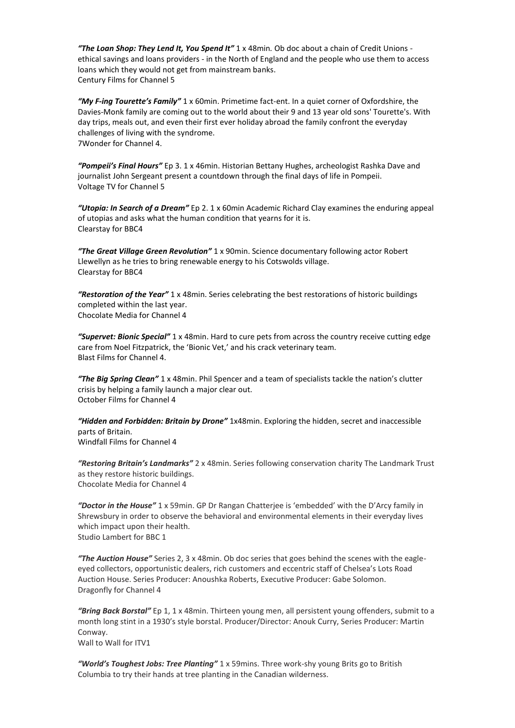*"The Loan Shop: They Lend It, You Spend It"* 1 x 48min*.* Ob doc about a chain of Credit Unions ethical savings and loans providers - in the North of England and the people who use them to access loans which they would not get from mainstream banks. Century Films for Channel 5

*"My F-ing Tourette's Family"* 1 x 60min. Primetime fact-ent. In a quiet corner of Oxfordshire, the Davies-Monk family are coming out to the world about their 9 and 13 year old sons' Tourette's. With day trips, meals out, and even their first ever holiday abroad the family confront the everyday challenges of living with the syndrome. 7Wonder for Channel 4.

*"Pompeii's Final Hours"* Ep 3. 1 x 46min. Historian Bettany Hughes, archeologist Rashka Dave and journalist John Sergeant present a countdown through the final days of life in Pompeii. Voltage TV for Channel 5

*"Utopia: In Search of a Dream"* Ep 2. 1 x 60min Academic Richard Clay examines the enduring appeal of utopias and asks what the human condition that yearns for it is. Clearstay for BBC4

*"The Great Village Green Revolution"* 1 x 90min. Science documentary following actor Robert Llewellyn as he tries to bring renewable energy to his Cotswolds village. Clearstay for BBC4

*"Restoration of the Year"* 1 x 48min. Series celebrating the best restorations of historic buildings completed within the last year. Chocolate Media for Channel 4

*"Supervet: Bionic Special"* 1 x 48min. Hard to cure pets from across the country receive cutting edge care from Noel Fitzpatrick, the 'Bionic Vet,' and his crack veterinary team. Blast Films for Channel 4.

*"The Big Spring Clean"* 1 x 48min. Phil Spencer and a team of specialists tackle the nation's clutter crisis by helping a family launch a major clear out. October Films for Channel 4

*"Hidden and Forbidden: Britain by Drone"* 1x48min. Exploring the hidden, secret and inaccessible parts of Britain.

Windfall Films for Channel 4

*"Restoring Britain's Landmarks"* 2 x 48min. Series following conservation charity The Landmark Trust as they restore historic buildings. Chocolate Media for Channel 4

*"Doctor in the House"* 1 x 59min. GP Dr Rangan Chatterjee is 'embedded' with the D'Arcy family in Shrewsbury in order to observe the behavioral and environmental elements in their everyday lives which impact upon their health. Studio Lambert for BBC 1

*"The Auction House"* Series 2, 3 x 48min. Ob doc series that goes behind the scenes with the eagleeyed collectors, opportunistic dealers, rich customers and eccentric staff of Chelsea's Lots Road Auction House. Series Producer: Anoushka Roberts, Executive Producer: Gabe Solomon. Dragonfly for Channel 4

*"Bring Back Borstal"* Ep 1, 1 x 48min. Thirteen young men, all persistent young offenders, submit to a month long stint in a 1930's style borstal. Producer/Director: Anouk Curry, Series Producer: Martin Conway. Wall to Wall for ITV1

*"World's Toughest Jobs: Tree Planting"* 1 x 59mins. Three work-shy young Brits go to British Columbia to try their hands at tree planting in the Canadian wilderness.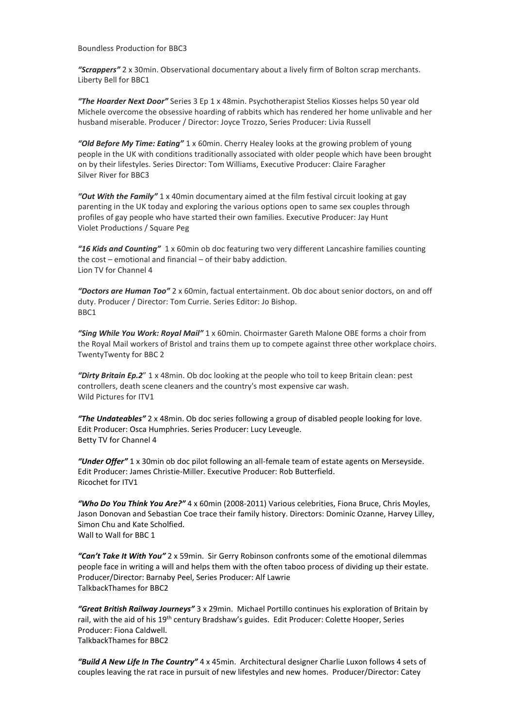Boundless Production for BBC3

*"Scrappers"* 2 x 30min. Observational documentary about a lively firm of Bolton scrap merchants. Liberty Bell for BBC1

*"The Hoarder Next Door"* Series 3 Ep 1 x 48min. Psychotherapist Stelios Kiosses helps 50 year old Michele overcome the obsessive hoarding of rabbits which has rendered her home unlivable and her husband miserable. Producer / Director: Joyce Trozzo, Series Producer: Livia Russell

*"Old Before My Time: Eating"* 1 x 60min. Cherry Healey looks at the growing problem of young people in the UK with conditions traditionally associated with older people which have been brought on by their lifestyles. Series Director: Tom Williams, Executive Producer: Claire Faragher Silver River for BBC3

*"Out With the Family"* 1 x 40min documentary aimed at the film festival circuit looking at gay parenting in the UK today and exploring the various options open to same sex couples through profiles of gay people who have started their own families. Executive Producer: Jay Hunt Violet Productions / Square Peg

*"16 Kids and Counting"* 1 x 60min ob doc featuring two very different Lancashire families counting the cost – emotional and financial – of their baby addiction. Lion TV for Channel 4

*"Doctors are Human Too"* 2 x 60min, factual entertainment. Ob doc about senior doctors, on and off duty. Producer / Director: Tom Currie. Series Editor: Jo Bishop. BBC1

*"Sing While You Work: Royal Mail"* 1 x 60min. Choirmaster Gareth Malone OBE forms a choir from the Royal Mail workers of Bristol and trains them up to compete against three other workplace choirs. TwentyTwenty for BBC 2

*"Dirty Britain Ep.2*" 1 x 48min. Ob doc looking at the people who toil to keep Britain clean: pest controllers, death scene cleaners and the country's most expensive car wash. Wild Pictures for ITV1

*"The Undateables"* 2 x 48min. Ob doc series following a group of disabled people looking for love. Edit Producer: Osca Humphries. Series Producer: Lucy Leveugle. Betty TV for Channel 4

*"Under Offer"* 1 x 30min ob doc pilot following an all-female team of estate agents on Merseyside. Edit Producer: James Christie-Miller. Executive Producer: Rob Butterfield. Ricochet for ITV1

*"Who Do You Think You Are?"* 4 x 60min (2008-2011) Various celebrities, Fiona Bruce, Chris Moyles, Jason Donovan and Sebastian Coe trace their family history. Directors: Dominic Ozanne, Harvey Lilley, Simon Chu and Kate Scholfied. Wall to Wall for BBC 1

*"Can't Take It With You"* 2 x 59min. Sir Gerry Robinson confronts some of the emotional dilemmas people face in writing a will and helps them with the often taboo process of dividing up their estate. Producer/Director: Barnaby Peel, Series Producer: Alf Lawrie TalkbackThames for BBC2

*"Great British Railway Journeys"* 3 x 29min. Michael Portillo continues his exploration of Britain by rail, with the aid of his 19<sup>th</sup> century Bradshaw's guides. Edit Producer: Colette Hooper, Series Producer: Fiona Caldwell. TalkbackThames for BBC2

*"Build A New Life In The Country"* 4 x 45min. Architectural designer Charlie Luxon follows 4 sets of couples leaving the rat race in pursuit of new lifestyles and new homes. Producer/Director: Catey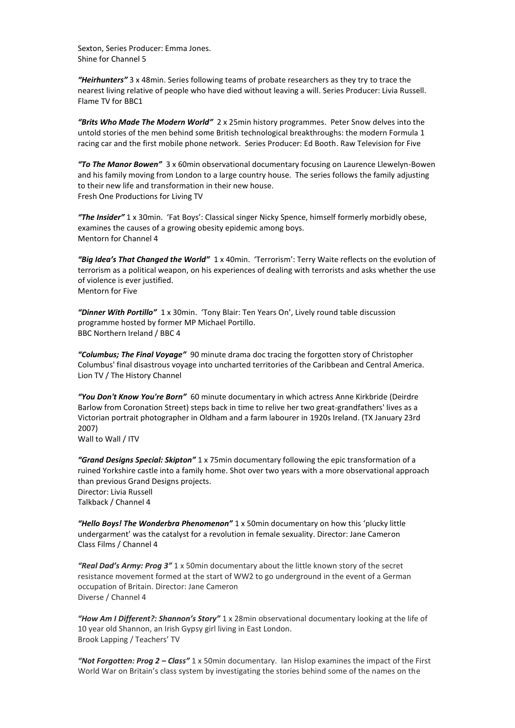Sexton, Series Producer: Emma Jones. Shine for Channel 5

*"Heirhunters"* 3 x 48min. Series following teams of probate researchers as they try to trace the nearest living relative of people who have died without leaving a will. Series Producer: Livia Russell. Flame TV for BBC1

*"Brits Who Made The Modern World"* 2 x 25min history programmes. Peter Snow delves into the untold stories of the men behind some British technological breakthroughs: the modern Formula 1 racing car and the first mobile phone network. Series Producer: Ed Booth. Raw Television for Five

*"To The Manor Bowen"* 3 x 60min observational documentary focusing on Laurence Llewelyn-Bowen and his family moving from London to a large country house. The series follows the family adjusting to their new life and transformation in their new house. Fresh One Productions for Living TV

*"The Insider"* 1 x 30min. 'Fat Boys': Classical singer Nicky Spence, himself formerly morbidly obese, examines the causes of a growing obesity epidemic among boys. Mentorn for Channel 4

*"Big Idea's That Changed the World"* 1 x 40min. 'Terrorism': Terry Waite reflects on the evolution of terrorism as a political weapon, on his experiences of dealing with terrorists and asks whether the use of violence is ever justified. Mentorn for Five

*"Dinner With Portillo"* 1 x 30min. 'Tony Blair: Ten Years On', Lively round table discussion programme hosted by former MP Michael Portillo. BBC Northern Ireland / BBC 4

*"Columbus; The Final Voyage"* 90 minute drama doc tracing the forgotten story of Christopher Columbus' final disastrous voyage into uncharted territories of the Caribbean and Central America. Lion TV / The History Channel

*"You Don't Know You're Born"* 60 minute documentary in which actress Anne Kirkbride (Deirdre Barlow from Coronation Street) steps back in time to relive her two great-grandfathers' lives as a Victorian portrait photographer in Oldham and a farm labourer in 1920s Ireland. (TX January 23rd 2007) Wall to Wall / ITV

*"Grand Designs Special: Skipton"* 1 x 75min documentary following the epic transformation of a ruined Yorkshire castle into a family home. Shot over two years with a more observational approach than previous Grand Designs projects. Director: Livia Russell Talkback / Channel 4

*"Hello Boys! The Wonderbra Phenomenon"* 1 x 50min documentary on how this 'plucky little undergarment' was the catalyst for a revolution in female sexuality. Director: Jane Cameron Class Films / Channel 4

*"Real Dad's Army: Prog 3"* 1 x 50min documentary about the little known story of the secret resistance movement formed at the start of WW2 to go underground in the event of a German occupation of Britain. Director: Jane Cameron Diverse / Channel 4

*"How Am I Different?: Shannon's Story"* 1 x 28min observational documentary looking at the life of 10 year old Shannon, an Irish Gypsy girl living in East London. Brook Lapping / Teachers' TV

*"Not Forgotten: Prog 2 – Class"* 1 x 50min documentary. Ian Hislop examines the impact of the First World War on Britain's class system by investigating the stories behind some of the names on the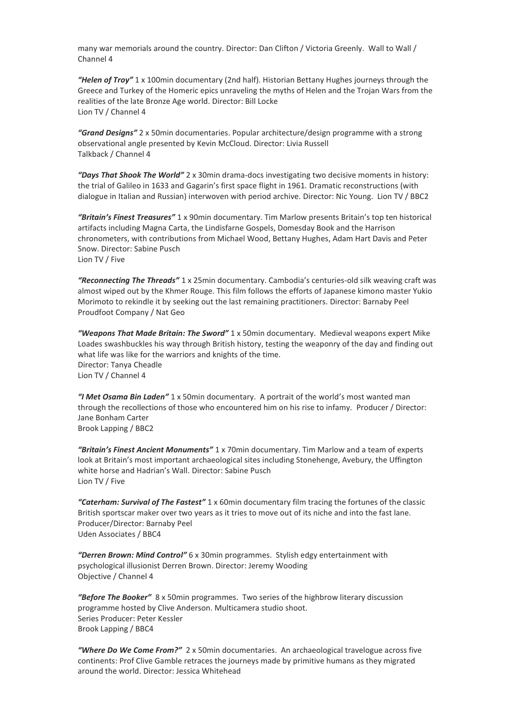many war memorials around the country. Director: Dan Clifton / Victoria Greenly. Wall to Wall / Channel 4

*"Helen of Troy"* 1 x 100min documentary (2nd half). Historian Bettany Hughes journeys through the Greece and Turkey of the Homeric epics unraveling the myths of Helen and the Trojan Wars from the realities of the late Bronze Age world. Director: Bill Locke Lion TV / Channel 4

*"Grand Designs"* 2 x 50min documentaries. Popular architecture/design programme with a strong observational angle presented by Kevin McCloud. Director: Livia Russell Talkback / Channel 4

*"Days That Shook The World"* 2 x 30min drama-docs investigating two decisive moments in history: the trial of Galileo in 1633 and Gagarin's first space flight in 1961*.* Dramatic reconstructions (with dialogue in Italian and Russian) interwoven with period archive. Director: Nic Young.Lion TV / BBC2

*"Britain's Finest Treasures"* 1 x 90min documentary. Tim Marlow presents Britain's top ten historical artifacts including Magna Carta, the Lindisfarne Gospels, Domesday Book and the Harrison chronometers, with contributions from Michael Wood, Bettany Hughes, Adam Hart Davis and Peter Snow. Director: Sabine Pusch Lion TV / Five

*"Reconnecting The Threads"* 1 x 25min documentary. Cambodia's centuries-old silk weaving craft was almost wiped out by the Khmer Rouge. This film follows the efforts of Japanese kimono master Yukio Morimoto to rekindle it by seeking out the last remaining practitioners. Director: Barnaby Peel Proudfoot Company / Nat Geo

*"Weapons That Made Britain: The Sword"* 1 x 50min documentary. Medieval weapons expert Mike Loades swashbuckles his way through British history, testing the weaponry of the day and finding out what life was like for the warriors and knights of the time*.*  Director: Tanya Cheadle Lion TV / Channel 4

*"I Met Osama Bin Laden"* 1 x 50min documentary. A portrait of the world's most wanted man through the recollections of those who encountered him on his rise to infamy. Producer / Director: Jane Bonham Carter Brook Lapping / BBC2

*"Britain's Finest Ancient Monuments"* 1 x 70min documentary. Tim Marlow and a team of experts look at Britain's most important archaeological sites including Stonehenge, Avebury, the Uffington white horse and Hadrian's Wall. Director: Sabine Pusch Lion TV / Five

*"Caterham: Survival of The Fastest"* 1 x 60min documentary film tracing the fortunes of the classic British sportscar maker over two years as it tries to move out of its niche and into the fast lane. Producer/Director: Barnaby Peel Uden Associates / BBC4

*"Derren Brown: Mind Control"* 6 x 30min programmes. Stylish edgy entertainment with psychological illusionist Derren Brown. Director: Jeremy Wooding Objective / Channel 4

*"Before The Booker"* 8 x 50min programmes. Two series of the highbrow literary discussion programme hosted by Clive Anderson. Multicamera studio shoot. Series Producer: Peter Kessler Brook Lapping / BBC4

*"Where Do We Come From?"* 2 x 50min documentaries. An archaeological travelogue across five continents: Prof Clive Gamble retraces the journeys made by primitive humans as they migrated around the world. Director: Jessica Whitehead